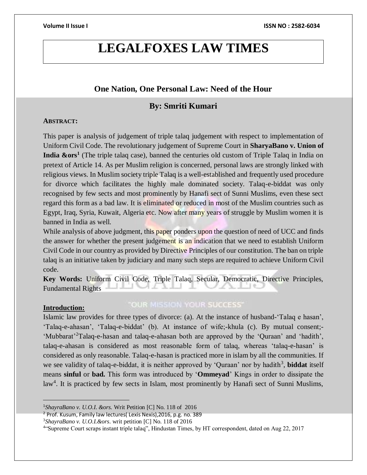# **LEGALFOXES LAW TIMES**

# **One Nation, One Personal Law: Need of the Hour**

# **By: Smriti Kumari**

## **ABSTRACT:**

This paper is analysis of judgement of triple talaq judgement with respect to implementation of Uniform Civil Code. The revolutionary judgement of Supreme Court in **SharyaBano v. Union of India &ors<sup>1</sup>** (The triple talaq case), banned the centuries old custom of Triple Talaq in India on pretext of Article 14. As per Muslim religion is concerned, personal laws are strongly linked with religious views. In Muslim society triple Talaq is a well-established and frequently used procedure for divorce which facilitates the highly male dominated society. Talaq-e-biddat was only recognised by few sects and most prominently by Hanafi sect of Sunni Muslims, even these sect regard this form as a bad law. It is eliminated or reduced in most of the Muslim countries such as Egypt, Iraq, Syria, Kuwait, Algeria etc. Now after many years of struggle by Muslim women it is banned in India as well.

While analysis of above judgment, this paper ponders upon the question of need of UCC and finds the answer for whether the present judgement is an indication that we need to establish Uniform Civil Code in our country as provided by Directive Principles of our constitution. The ban on triple talaq is an initiative taken by judiciary and many such steps are required to achieve Uniform Civil code.

**Key Words:** Uniform Civil Code, Triple Talaq, Secular, Democratic, Directive Principles, Fundamental Rights

#### **Introduction:**

 $\overline{a}$ 

## "OUR MISSION YOUR SUCCESS"

Islamic law provides for three types of divorce: (a). At the instance of husband-'Talaq e hasan', 'Talaq-e-ahasan', 'Talaq-e-biddat' (b). At instance of wife;-khula (c). By mutual consent;- 'Mubbarat'<sup>2</sup>Talaq-e-hasan and talaq-e-ahasan both are approved by the 'Quraan' and 'hadith', talaq-e-ahasan is considered as most reasonable form of talaq, whereas 'talaq-e-hasan' is considered as only reasonable. Talaq-e-hasan is practiced more in islam by all the communities. If we see validity of talaq-e-biddat, it is neither approved by 'Quraan' nor by hadith<sup>3</sup>, **biddat** itself means **sinful** or **bad.** This form was introduced by '**Ommeyad**' Kings in order to dissipate the law<sup>4</sup>. It is practiced by few sects in Islam, most prominently by Hanafi sect of Sunni Muslims,

<sup>1</sup>*ShayraBano v. U.O.I*. *&ors.* Writ Petition [C] No. 118 of 2016

<sup>2</sup> Prof. Kusum, Family law lectures( Lexis Nexis),2016, p.g. no. 389

<sup>3</sup>*ShayraBano v. U.O.I.&ors*. writ petition [C] No. 118 of 2016

<sup>4</sup> "Supreme Court scraps instant triple talaq", Hindustan Times, by HT correspondent, dated on Aug 22, 2017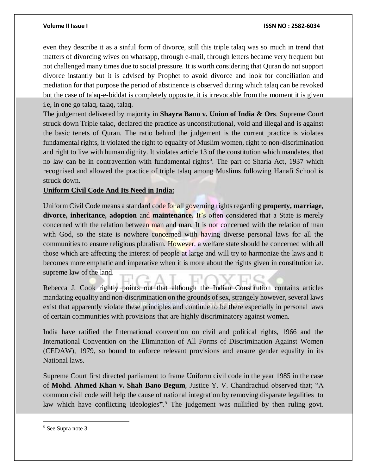#### **Volume II Issue I ISSN NO : 2582-6034**

even they describe it as a sinful form of divorce, still this triple talaq was so much in trend that matters of divorcing wives on whatsapp, through e-mail, through letters became very frequent but not challenged many times due to social pressure. It is worth considering that Quran do not support divorce instantly but it is advised by Prophet to avoid divorce and look for conciliation and mediation for that purpose the period of abstinence is observed during which talaq can be revoked but the case of talaq-e-biddat is completely opposite, it is irrevocable from the moment it is given i.e, in one go talaq, talaq, talaq.

The judgement delivered by majority in **Shayra Bano v. Union of India & Ors**. Supreme Court struck down Triple talaq, declared the practice as unconstitutional, void and illegal and is against the basic tenets of Quran. The ratio behind the judgement is the current practice is violates fundamental rights, it violated the right to equality of Muslim women, right to non-discrimination and right to live with human dignity. It violates article 13 of the constitution which mandates, that no law can be in contravention with fundamental rights<sup>5</sup>. The part of Sharia Act, 1937 which recognised and allowed the practice of triple talaq among Muslims following Hanafi School is struck down.

### **Uniform Civil Code And Its Need in India:**

Uniform Civil Code means a standard code for all governing rights regarding **property, marriage**, **divorce, inheritance, adoption** and **maintenance.** It's often considered that a State is merely concerned with the relation between man and man. It is not concerned with the relation of man with God, so the state is nowhere concerned with having diverse personal laws for all the communities to ensure religious pluralism. However, a welfare state should be concerned with all those which are affecting the interest of people at large and will try to harmonize the laws and it becomes more emphatic and imperative when it is more about the rights given in constitution i.e. supreme law of the land.

Rebecca J. Cook rightly points out that although the Indian Constitution contains articles mandating equality and non-discrimination on the grounds of sex, strangely however, several laws exist that apparently violate these principles and continue to be there especially in personal laws of certain communities with provisions that are highly discriminatory against women.

India have ratified the International convention on civil and political rights, 1966 and the International Convention on the Elimination of All Forms of Discrimination Against Women (CEDAW), 1979, so bound to enforce relevant provisions and ensure gender equality in its National laws.

Supreme Court first directed parliament to frame Uniform civil code in the year 1985 in the case of **Mohd. Ahmed Khan v. Shah Bano Begum**, Justice Y. V. Chandrachud observed that; "A common civil code will help the cause of national integration by removing disparate legalities to law which have conflicting ideologies**"**. <sup>5</sup> The judgement was nullified by then ruling govt.

 $\overline{a}$ 

<sup>5</sup> See Supra note 3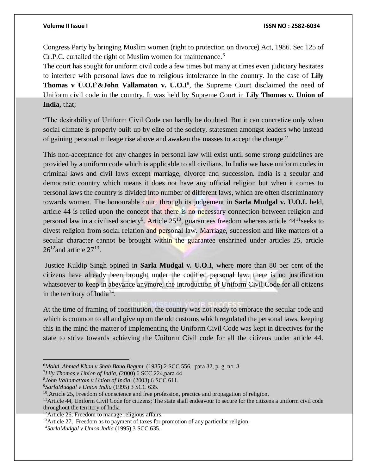Congress Party by bringing Muslim women (right to protection on divorce) Act, 1986. Sec 125 of Cr.P.C. curtailed the right of Muslim women for maintenance.<sup>6</sup>

The court has sought for uniform civil code a few times but many at times even judiciary hesitates to interfere with personal laws due to religious intolerance in the country. In the case of **Lily**  Thomas v U.O.I<sup>7</sup> & John Vallamaton v. U.O.I<sup>8</sup>, the Supreme Court disclaimed the need of Uniform civil code in the country. It was held by Supreme Court in **Lily Thomas v. Union of India,** that;

"The desirability of Uniform Civil Code can hardly be doubted. But it can concretize only when social climate is properly built up by elite of the society, statesmen amongst leaders who instead of gaining personal mileage rise above and awaken the masses to accept the change."

This non-acceptance for any changes in personal law will exist until some strong guidelines are provided by a uniform code which is applicable to all civilians. In India we have uniform codes in criminal laws and civil laws except marriage, divorce and succession. India is a secular and democratic country which means it does not have any official religion but when it comes to personal laws the country is divided into number of different laws, which are often discriminatory towards women. The honourable court through its judgement in **Sarla Mudgal v. U.O.I.** held, article 44 is relied upon the concept that there is no necessary connection between religion and personal law in a civilised society<sup>9</sup>. Article  $25^{10}$ , guarantees freedom whereas article  $44^{11}$ seeks to divest religion from social relation and personal law. Marriage, succession and like matters of a secular character cannot be brought within the guarantee enshrined under articles 25, article  $26^{12}$  and article  $27^{13}$ .

Justice Kuldip Singh opined in **Sarla Mudgal v. U.O.I**, where more than 80 per cent of the citizens have already been brought under the codified personal law, there is no justification whatsoever to keep in abeyance anymore, the introduction of Uniform Civil Code for all citizens in the territory of India<sup>14</sup>.

At the time of framing of constitution, the country was not ready to embrace the secular code and which is common to all and give up on the old customs which regulated the personal laws, keeping this in the mind the matter of implementing the Uniform Civil Code was kept in directives for the state to strive towards achieving the Uniform Civil code for all the citizens under article 44.

<sup>7</sup>*Lily Thomas v Union of India,* (2000) 6 SCC 224,para 44

 $\overline{a}$ 

<sup>6</sup>*Mohd. Ahmed Khan v Shah Bano Begum,* (1985) 2 SCC 556, para 32, p. g. no. 8

<sup>8</sup> *John Vallamattom v Union of India*, (2003) 6 SCC 611.

<sup>9</sup>*SarlaMudgal v Union India* (1995) 3 SCC 635.

 $10$ . Article 25, Freedom of conscience and free profession, practice and propagation of religion.

 $11$ Article 44, Uniform Civil Code for citizens; The state shall endeavour to secure for the citizens a uniform civil code throughout the territory of India

 $12$ Article 26, Freedom to manage religious affairs.

<sup>&</sup>lt;sup>13</sup>Article 27, Freedom as to payment of taxes for promotion of any particular religion.

<sup>14</sup>*SarlaMudgal v Union India* (1995) 3 SCC 635.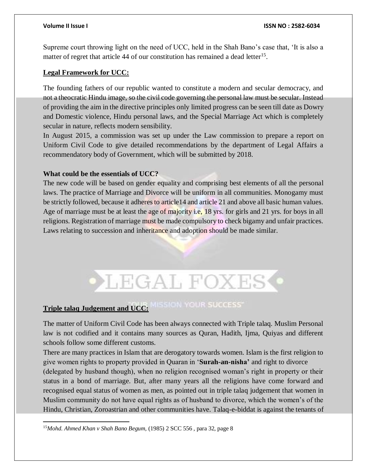Supreme court throwing light on the need of UCC, held in the Shah Bano's case that, 'It is also a matter of regret that article  $44$  of our constitution has remained a dead letter<sup>15</sup>.

### **Legal Framework for UCC:**

The founding fathers of our republic wanted to constitute a modern and secular democracy, and not a theocratic Hindu image, so the civil code governing the personal law must be secular. Instead of providing the aim in the directive principles only limited progress can be seen till date as Dowry and Domestic violence, Hindu personal laws, and the Special Marriage Act which is completely secular in nature, reflects modern sensibility.

In August 2015, a commission was set up under the Law commission to prepare a report on Uniform Civil Code to give detailed recommendations by the department of Legal Affairs a recommendatory body of Government, which will be submitted by 2018.

### **What could be the essentials of UCC?**

The new code will be based on gender equality and comprising best elements of all the personal laws. The practice of Marriage and Divorce will be uniform in all communities. Monogamy must be strictly followed, because it adheres to article14 and article 21 and above all basic human values. Age of marriage must be at least the age of majority i.e, 18 yrs. for girls and 21 yrs. for boys in all religions. Registration of marriage must be made compulsory to check bigamy and unfair practices. Laws relating to succession and inheritance and adoption should be made similar.



# **Triple talaq Judgement and UCC: MISSION YOUR SUCCESS**

The matter of Uniform Civil Code has been always connected with Triple talaq. Muslim Personal law is not codified and it contains many sources as Quran, Hadith, Ijma, Quiyas and different schools follow some different customs.

There are many practices in Islam that are derogatory towards women. Islam is the first religion to give women rights to property provided in Quaran in '**Surah-an-nisha'** and right to divorce (delegated by husband though), when no religion recognised woman's right in property or their status in a bond of marriage. But, after many years all the religions have come forward and recognised equal status of women as men, as pointed out in triple talaq judgement that women in Muslim community do not have equal rights as of husband to divorce, which the women's of the Hindu, Christian, Zoroastrian and other communities have. Talaq-e-biddat is against the tenants of

 $\overline{a}$ <sup>15</sup>*Mohd. Ahmed Khan v Shah Bano Begum,* (1985) 2 SCC 556 , para 32, page 8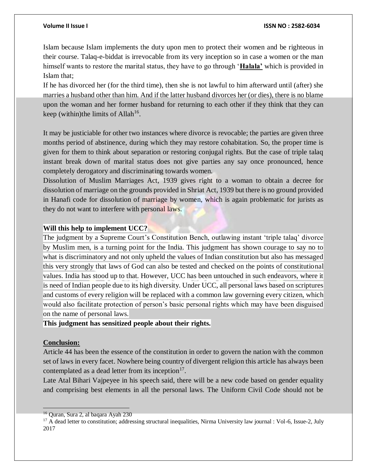#### **Volume II Issue I ISSN NO : 2582-6034**

Islam because Islam implements the duty upon men to protect their women and be righteous in their course. Talaq-e-biddat is irrevocable from its very inception so in case a women or the man himself wants to restore the marital status, they have to go through '**Halala'** which is provided in Islam that;

If he has divorced her (for the third time), then she is not lawful to him afterward until (after) she marries a husband other than him. And if the latter husband divorces her (or dies), there is no blame upon the woman and her former husband for returning to each other if they think that they can keep (within) the limits of Allah<sup>16</sup>.

It may be justiciable for other two instances where divorce is revocable; the parties are given three months period of abstinence, during which they may restore cohabitation. So, the proper time is given for them to think about separation or restoring conjugal rights. But the case of triple talaq instant break down of marital status does not give parties any say once pronounced, hence completely derogatory and discriminating towards women.

Dissolution of Muslim Marriages Act, 1939 gives right to a woman to obtain a decree for dissolution of marriage on the grounds provided in Shriat Act, 1939 but there is no ground provided in Hanafi code for dissolution of marriage by women, which is again problematic for jurists as they do not want to interfere with personal laws.

### **Will this help to implement UCC?**

The judgment by a Supreme Court's Constitution Bench, outlawing instant 'triple talaq' divorce by Muslim men, is a turning point for the India. This judgment has shown courage to say no to what is discriminatory and not only upheld the values of Indian constitution but also has messaged this very strongly that laws of God can also be tested and checked on the points of constitutional values. India has stood up to that. However, UCC has been untouched in such endeavors, where it is need of Indian people due to its high diversity. Under UCC, all personal laws based on scriptures and customs of every religion will be replaced with a common law governing every citizen, which would also facilitate protection of person's basic personal rights which may have been disguised on the name of personal laws.

### **This judgment has sensitized people about their rights.**

### **Conclusion:**

 $\overline{a}$ 

Article 44 has been the essence of the constitution in order to govern the nation with the common set of laws in every facet. Nowhere being country of divergent religion this article has always been contemplated as a dead letter from its inception $17$ .

Late Atal Bihari Vajpeyee in his speech said, there will be a new code based on gender equality and comprising best elements in all the personal laws. The Uniform Civil Code should not be

<sup>16</sup> Quran, Sura 2, al baqara Ayah 230

<sup>&</sup>lt;sup>17</sup> A dead letter to constitution; addressing structural inequalities, Nirma University law journal : Vol-6, Issue-2, July 2017